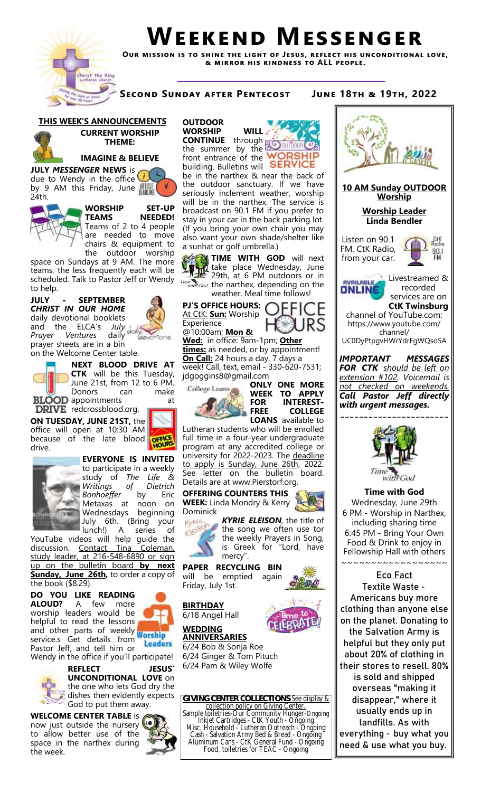

# **Weekend Messenger**

**Our mission is to shine the light of Jesus, reflect his unconditional love, & mirror his kindness to ALL people.**

**Second Sunday after Pentecost June 18th & 19th, 2022**

# **THIS WEEK'S ANNOUNCEMENTS**



### **CURRENT WORSHIP THEME:**



**JULY** *MESSENGER* **NEWS** is due to Wendy in the office by 9 AM this Friday, June 24th.





are needed to move chairs & equipment to the outdoor worship

space on Sundays at 9 AM. The more teams, the less frequently each will be scheduled. Talk to Pastor Jeff or Wendy to help.

**JULY - SEPTEMBER**  *CHRIST IN OUR HOME*  daily devotional booklets and the ELCA's *July*  **Prayer Ventures** prayer sheets are in a bin on the Welcome Center table.

> **NEXT BLOOD DRIVE AT CTK** will be this Tuesday, June 21st, from 12 to 6 PM.

Donors can make **BLOOD** appointments at **DRIVE** redcrossblood.org.

**ON TUESDAY, JUNE 21ST,** the office will open at 10:30 AM **OFFICE** because of the late blood



drive.

**EVERYONE IS INVITED**  to participate in a weekly study of *The Life & Writings of Dietrich Bonhoeffer* by Eric Metaxas at noon on Wednesdays beginning July 6th. (Bring your lunch!) A series of

YouTube videos will help guide the discussion. Contact Tina Coleman, study leader, at 216-548-6890 or sign up on the bulletin board **by next Sunday, June 26th,** to order a copy of the book (\$8.29).

**DO YOU LIKE READING ALOUD?** A few more worship leaders would be helpful to read the lessons and other parts of weekly worship service.s Get details from **Leaders** Pastor Jeff, and tell him or Wendy in the office if you'll participate!



**REFLECT JESUS' UNCONDITIONAL LOVE** on the one who lets God dry the dishes then evidently expects God to put them away.

#### **WELCOME CENTER TABLE** is now just outside the nursery to allow better use of the space in the narthex during the week.



the summer by the front entrance of the **WORSHIP** building. Bulletins will **SERVICE** 

be in the narthex & near the back of the outdoor sanctuary. If we have seriously inclement weather, worship will be in the narthex. The service is broadcast on 90.1 FM if you prefer to stay in your car in the back parking lot. (If you bring your own chair you may also want your own shade/shelter like a sunhat or golf umbrella.)



**TIME WITH GOD** will next  $\frac{1}{2}$  take place Wednesday, June 29th, at 6 PM outdoors or in  $t_{\text{total}}$  the narthex, depending on the weather. Meal time follows!

At CtK: **Sun:** Worship Experience @10:00am; **Mon &** 



**Wed:** in office: 9am-1pm; **Other times:** as needed, or by appointment! **On Call:** 24 hours a day, 7 days a week! Call, text, email - 330-620-7531; jdgoggins8@gmail.com



**ONLY ONE MORE WEEK TO APPLY FOR INTEREST-FREE COLLEGE LOANS** available to

Lutheran students who will be enrolled full time in a four-year undergraduate program at any accredited college or university for 2022-2023. The deadline to apply is Sunday, June 26th, 2022. See letter on the bulletin board. Details are at www.Pierstorf.org.

**OFFERING COUNTERS THIS WEEK:** Linda Mondry & Kerry Dominick



*KYRIE ELEISON,* the title of the song we often use tor the weekly Prayers in Song, is Greek for "Lord, have mercy".

#### **PAPER RECYCLING BIN**  will be emptied again

Friday, July 1st.

**BIRTHDAY** 6/18 Angel Hall

**WEDDING** 



**ANNIVERSARIES** 6/24 Bob & Sonja Roe 6/24 Ginger & Tom Pituch 6/24 Pam & Wiley Wolfe

**GIVING CENTER COLLECTIONS**-See display & collection policy on Giving Center. Sample toiletries-Our Community Hunger-Ongoing Inkjet Cartridges - CtK Youth - Ongoing Misc. Household - Lutheran Outreach - Ongoing Cash - Salvation Army Bed & Bread - Ongoing Aluminum Cans - CtK General Fund - Ongoing Food, toiletries for TEAC - Ongoing



landfills. As with everything - buy what you need & use what you buy.